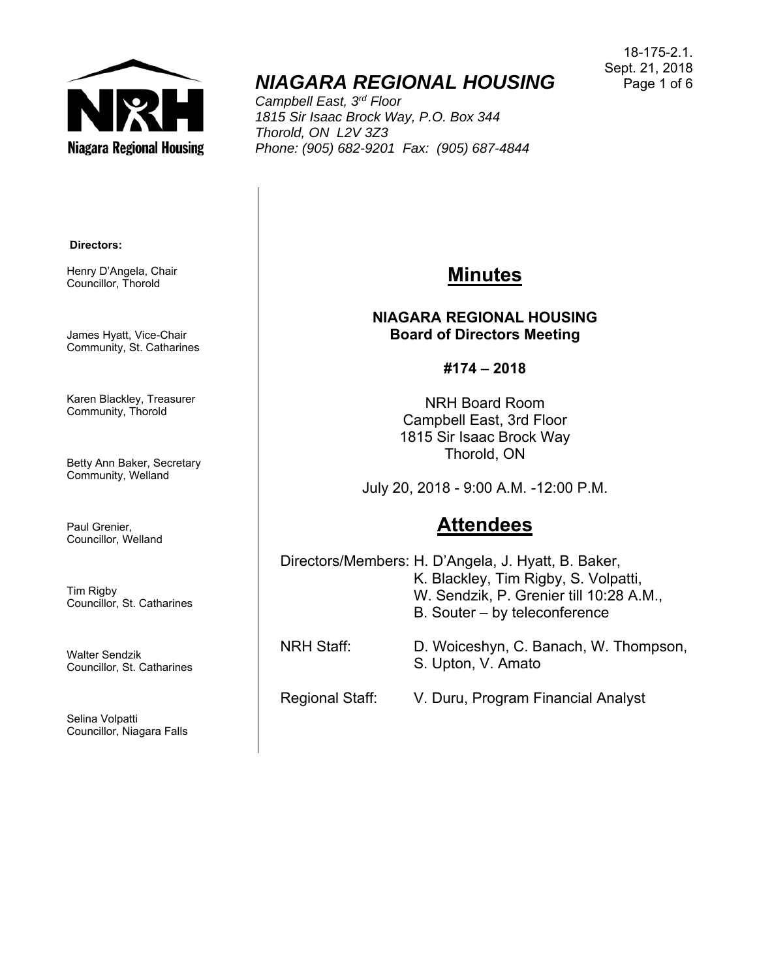

# *NIAGARA REGIONAL HOUSING*

*Campbell East, 3rd Floor 1815 Sir Isaac Brock Way, P.O. Box 344 Thorold, ON L2V 3Z3 Phone: (905) 682-9201 Fax: (905) 687-4844* 

18-175-2.1. Sept. 21, 2018 Page 1 of 6

#### **Directors:**

Henry D'Angela, Chair Councillor, Thorold

James Hyatt, Vice-Chair Community, St. Catharines

Karen Blackley, Treasurer Community, Thorold

Betty Ann Baker, Secretary Community, Welland

Paul Grenier, Councillor, Welland

Tim Rigby Councillor, St. Catharines

Walter Sendzik Councillor, St. Catharines

Selina Volpatti Councillor, Niagara Falls

### **Minutes**

**NIAGARA REGIONAL HOUSING Board of Directors Meeting** 

**#174 – 2018** 

NRH Board Room Campbell East, 3rd Floor 1815 Sir Isaac Brock Way Thorold, ON

July 20, 2018 - 9:00 A.M. -12:00 P.M.

## **Attendees**

Directors/Members: H. D'Angela, J. Hyatt, B. Baker, K. Blackley, Tim Rigby, S. Volpatti, W. Sendzik, P. Grenier till 10:28 A.M., B. Souter – by teleconference NRH Staff: D. Woiceshyn, C. Banach, W. Thompson, S. Upton, V. Amato

Regional Staff: V. Duru, Program Financial Analyst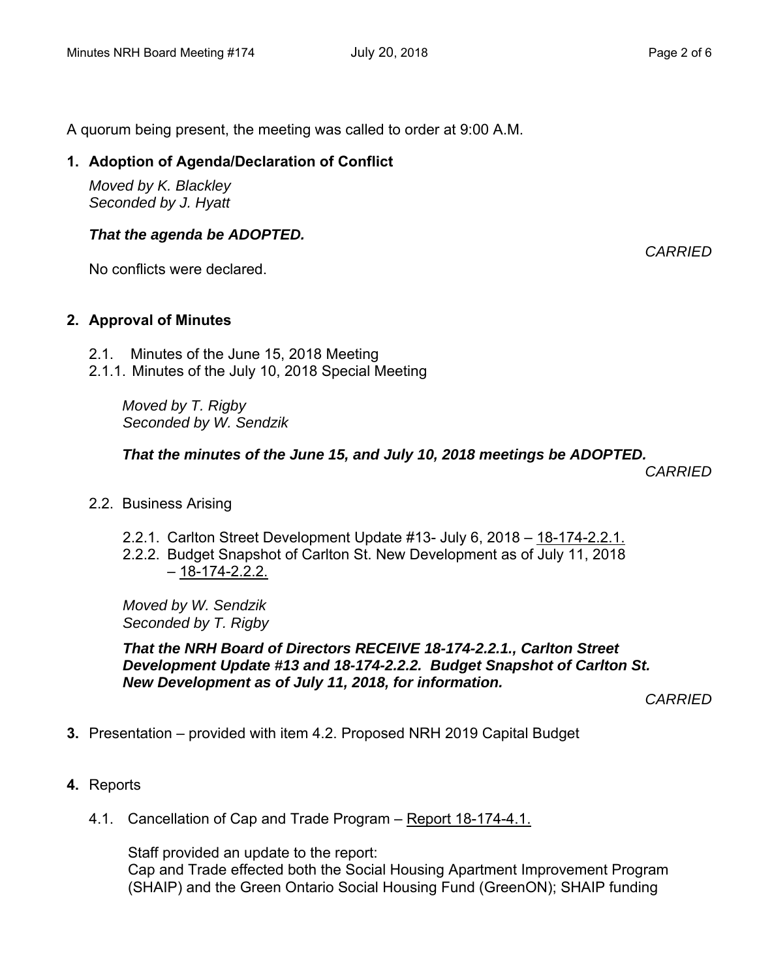A quorum being present, the meeting was called to order at 9:00 A.M.

#### **1. Adoption of Agenda/Declaration of Conflict**

*Moved by K. Blackley Seconded by J. Hyatt*

#### *That the agenda be ADOPTED.*

No conflicts were declared.

#### **2. Approval of Minutes**

- 2.1. Minutes of the June 15, 2018 Meeting
- 2.1.1. Minutes of the July 10, 2018 Special Meeting

*Moved by T. Rigby Seconded by W. Sendzik*

#### *That the minutes of the June 15, and July 10, 2018 meetings be ADOPTED.*

 *CARRIED* 

- 2.2. Business Arising
	- 2.2.1. Carlton Street Development Update #13- July 6, 2018 18-174-2.2.1.
	- 2.2.2. Budget Snapshot of Carlton St. New Development as of July 11, 2018  $-18-174-2.2.2$ .

*Moved by W. Sendzik Seconded by T. Rigby* 

*That the NRH Board of Directors RECEIVE 18-174-2.2.1., Carlton Street Development Update #13 and 18-174-2.2.2. Budget Snapshot of Carlton St. New Development as of July 11, 2018, for information.* 

*CARRIED* 

- **3.** Presentation provided with item 4.2. Proposed NRH 2019 Capital Budget
- **4.** Reports
	- 4.1. Cancellation of Cap and Trade Program Report 18-174-4.1.

Staff provided an update to the report: Cap and Trade effected both the Social Housing Apartment Improvement Program (SHAIP) and the Green Ontario Social Housing Fund (GreenON); SHAIP funding

*CARRIED*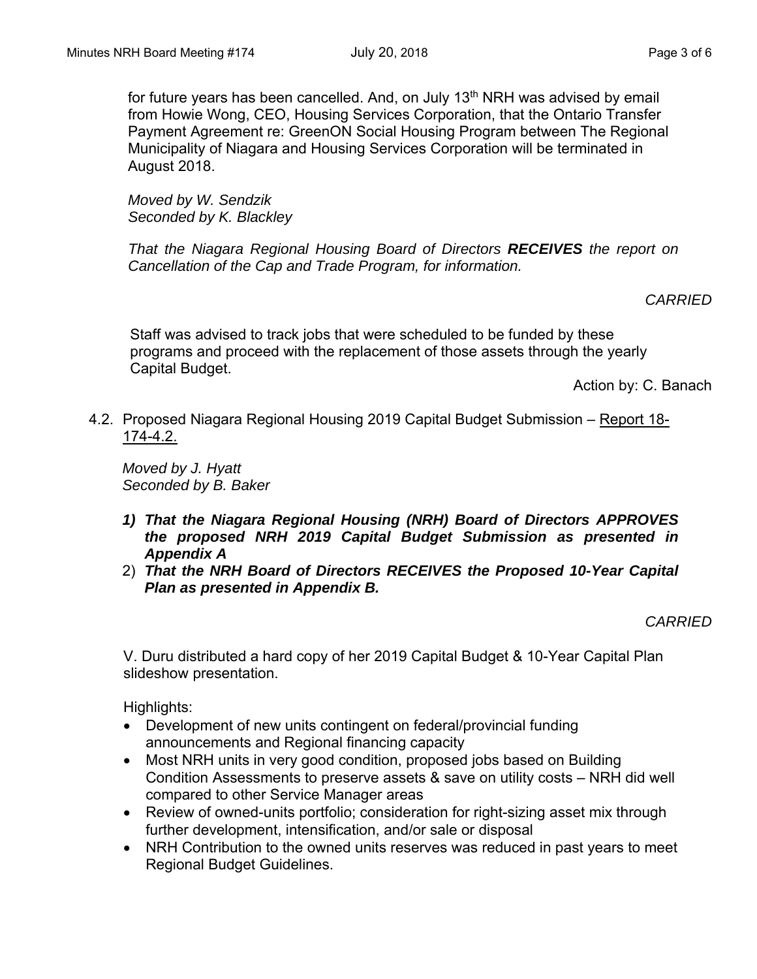*Moved by W. Sendzik Seconded by K. Blackley*

*That the Niagara Regional Housing Board of Directors RECEIVES the report on Cancellation of the Cap and Trade Program, for information.* 

#### *CARRIED*

Staff was advised to track jobs that were scheduled to be funded by these programs and proceed with the replacement of those assets through the yearly Capital Budget.

Action by: C. Banach

4.2. Proposed Niagara Regional Housing 2019 Capital Budget Submission – Report 18- 174-4.2.

*Moved by J. Hyatt Seconded by B. Baker* 

- *1) That the Niagara Regional Housing (NRH) Board of Directors APPROVES the proposed NRH 2019 Capital Budget Submission as presented in Appendix A*
- 2) *That the NRH Board of Directors RECEIVES the Proposed 10-Year Capital Plan as presented in Appendix B.*

*CARRIED* 

V. Duru distributed a hard copy of her 2019 Capital Budget & 10-Year Capital Plan slideshow presentation.

Highlights:

- Development of new units contingent on federal/provincial funding announcements and Regional financing capacity
- Most NRH units in very good condition, proposed jobs based on Building Condition Assessments to preserve assets & save on utility costs – NRH did well compared to other Service Manager areas
- Review of owned-units portfolio; consideration for right-sizing asset mix through further development, intensification, and/or sale or disposal
- NRH Contribution to the owned units reserves was reduced in past years to meet Regional Budget Guidelines.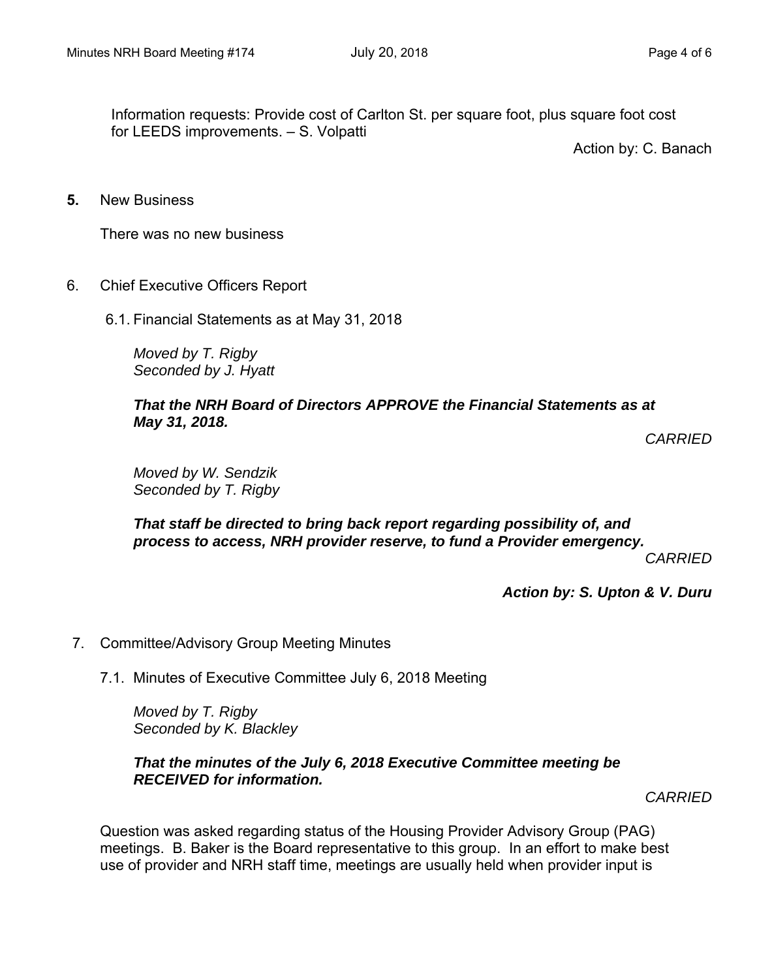Information requests: Provide cost of Carlton St. per square foot, plus square foot cost for LEEDS improvements. – S. Volpatti

Action by: C. Banach

**5.** New Business

There was no new business

- 6. Chief Executive Officers Report
	- 6.1. Financial Statements as at May 31, 2018

*Moved by T. Rigby Seconded by J. Hyatt*

#### *That the NRH Board of Directors APPROVE the Financial Statements as at May 31, 2018.*

*CARRIED* 

*Moved by W. Sendzik Seconded by T. Rigby* 

*That staff be directed to bring back report regarding possibility of, and process to access, NRH provider reserve, to fund a Provider emergency.* 

*CARRIED* 

*Action by: S. Upton & V. Duru* 

- 7. Committee/Advisory Group Meeting Minutes
	- 7.1. Minutes of Executive Committee July 6, 2018 Meeting

*Moved by T. Rigby Seconded by K. Blackley* 

#### *That the minutes of the July 6, 2018 Executive Committee meeting be RECEIVED for information.*

*CARRIED* 

Question was asked regarding status of the Housing Provider Advisory Group (PAG) meetings. B. Baker is the Board representative to this group. In an effort to make best use of provider and NRH staff time, meetings are usually held when provider input is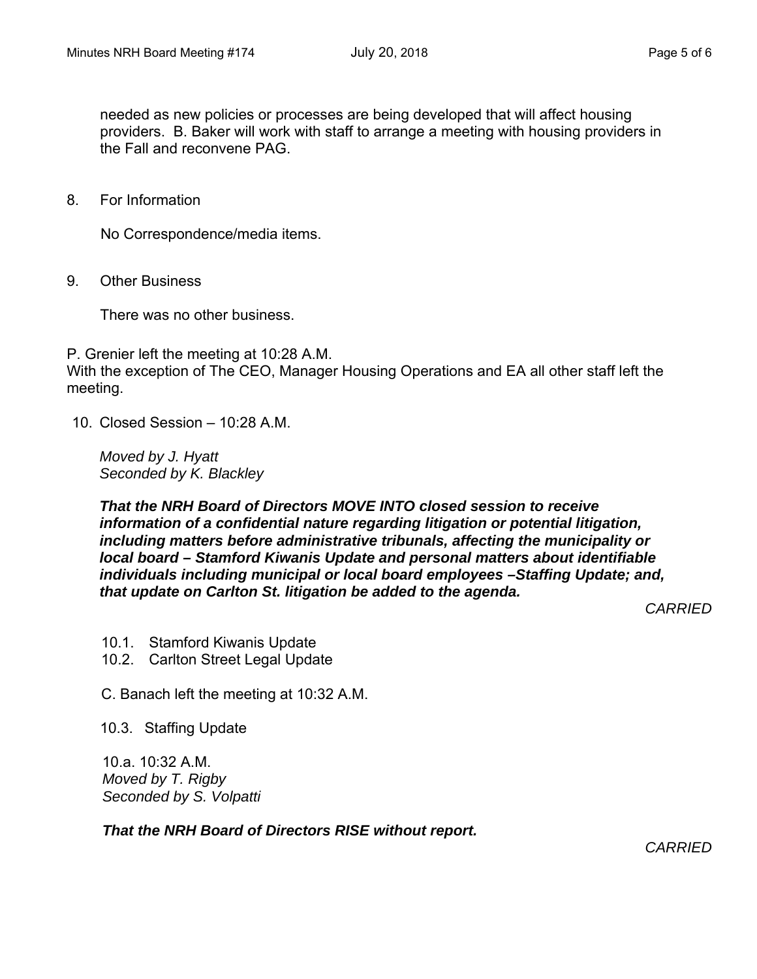needed as new policies or processes are being developed that will affect housing providers. B. Baker will work with staff to arrange a meeting with housing providers in the Fall and reconvene PAG.

8. For Information

No Correspondence/media items.

9. Other Business

There was no other business.

P. Grenier left the meeting at 10:28 A.M. With the exception of The CEO, Manager Housing Operations and EA all other staff left the meeting.

10. Closed Session –  $10.28$  A M.

*Moved by J. Hyatt Seconded by K. Blackley* 

*That the NRH Board of Directors MOVE INTO closed session to receive information of a confidential nature regarding litigation or potential litigation, including matters before administrative tribunals, affecting the municipality or local board – Stamford Kiwanis Update and personal matters about identifiable individuals including municipal or local board employees –Staffing Update; and, that update on Carlton St. litigation be added to the agenda.* 

*CARRIED* 

- 10.1. Stamford Kiwanis Update
- 10.2. Carlton Street Legal Update

C. Banach left the meeting at 10:32 A.M.

10.3. Staffing Update

10.a. 10:32 A.M. *Moved by T. Rigby Seconded by S. Volpatti* 

*That the NRH Board of Directors RISE without report.* 

*CARRIED*